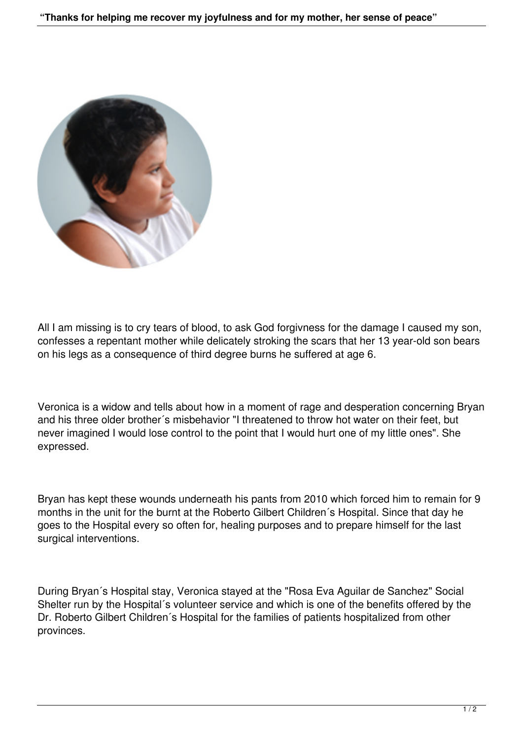

All I am missing is to cry tears of blood, to ask God forgivness for the damage I caused my son, confesses a repentant mother while delicately stroking the scars that her 13 year-old son bears on his legs as a consequence of third degree burns he suffered at age 6.

Veronica is a widow and tells about how in a moment of rage and desperation concerning Bryan and his three older brother´s misbehavior "I threatened to throw hot water on their feet, but never imagined I would lose control to the point that I would hurt one of my little ones". She expressed.

Bryan has kept these wounds underneath his pants from 2010 which forced him to remain for 9 months in the unit for the burnt at the Roberto Gilbert Children´s Hospital. Since that day he goes to the Hospital every so often for, healing purposes and to prepare himself for the last surgical interventions.

During Bryan´s Hospital stay, Veronica stayed at the "Rosa Eva Aguilar de Sanchez" Social Shelter run by the Hospital´s volunteer service and which is one of the benefits offered by the Dr. Roberto Gilbert Children´s Hospital for the families of patients hospitalized from other provinces.